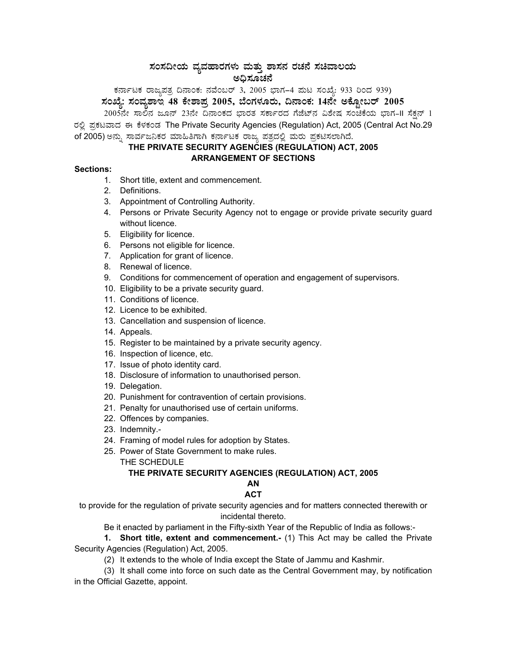# $\,$ ಸಂಸದೀಯ ವ್ಯವಹಾರಗಳು ಮತ್ತು ಶಾಸನ ರಚನೆ ಸಚಿವಾಲಯ ಅಧಿಸೂಚನೆ

PÀ£ÁðlPÀ gÁdå¥ÀvÀæ ¢£ÁAPÀ: £ÀªÉA§gï 3, 2005 ¨sÁUÀ-4 ¥ÀÄl ¸ÀASÉå: 933 jAzÀ 939) ಸಂಖ್ಯೆ: ಸಂವ್ಯಶಾಇ 48 ಕೇಶಾಪ್ರ 2005, ಬೆಂಗಳೂರು, ದಿನಾಂಕ: 14ನೇ ಅಕ್ಟೋಬರ್ 2005 <sub>-</sub> 2005ನೇ ಸಾಲಿನ ಜೂನ್ 23ನೇ ದಿನಾಂಕದ ಭಾರತ ಸರ್ಕಾರದ ಗೆಜೆಟ್ನ ವಿಶೇಷ ಸಂಚಿಕೆಯ ಭಾಗ–II ಸೆಕ್ಷನ್ 1

ರಲ್ಲಿ ಪ್ರಕಟವಾದ ಈ ಕೆಳಕಂಡ The Private Security Agencies (Regulation) Act, 2005 (Central Act No.29 of 2005) ಅನ್ನು ಸಾರ್ವಜನಿಕರ ಮಾಹಿತಿಗಾಗಿ ಕರ್ನಾಟಕ ರಾಜ್ಯ ಪತ್ರದಲ್ಲಿ ಮರು ಪ್ರಕಟಿಸಲಾಗಿದೆ.

# **THE PRIVATE SECURITY AGENCIES (REGULATION) ACT, 2005 ARRANGEMENT OF SECTIONS**

### **Sections:**

- 1. Short title, extent and commencement.
- 2. Definitions.
- 3. Appointment of Controlling Authority.
- 4. Persons or Private Security Agency not to engage or provide private security guard without licence.
- 5. Eligibility for licence.
- 6. Persons not eligible for licence.
- 7. Application for grant of licence.
- 8. Renewal of licence.
- 9. Conditions for commencement of operation and engagement of supervisors.
- 10. Eligibility to be a private security guard.
- 11. Conditions of licence.
- 12. Licence to be exhibited.
- 13. Cancellation and suspension of licence.
- 14. Appeals.
- 15. Register to be maintained by a private security agency.
- 16. Inspection of licence, etc.
- 17. Issue of photo identity card.
- 18. Disclosure of information to unauthorised person.
- 19. Delegation.
- 20. Punishment for contravention of certain provisions.
- 21. Penalty for unauthorised use of certain uniforms.
- 22. Offences by companies.
- 23. Indemnity.-
- 24. Framing of model rules for adoption by States.
- 25. Power of State Government to make rules.
	- THE SCHEDULE

#### **THE PRIVATE SECURITY AGENCIES (REGULATION) ACT, 2005 AN**

# **ACT**

to provide for the regulation of private security agencies and for matters connected therewith or incidental thereto.

Be it enacted by parliament in the Fifty-sixth Year of the Republic of India as follows:-

**1. Short title, extent and commencement.-** (1) This Act may be called the Private Security Agencies (Regulation) Act, 2005.

(2) It extends to the whole of India except the State of Jammu and Kashmir.

(3) It shall come into force on such date as the Central Government may, by notification in the Official Gazette, appoint.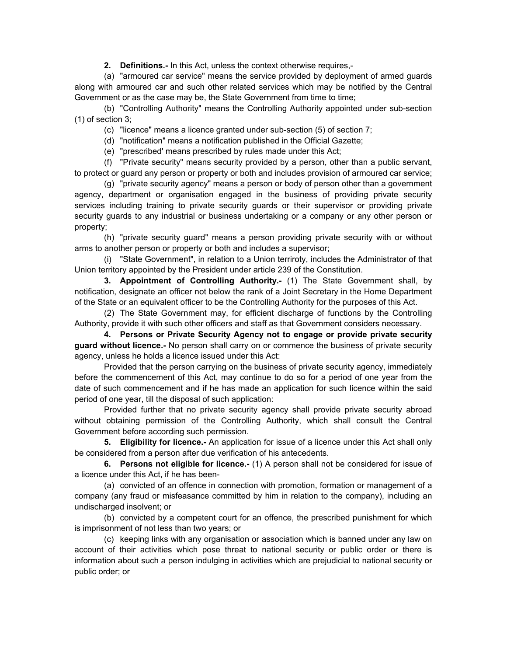**2. Definitions.-** In this Act, unless the context otherwise requires,-

(a) "armoured car service" means the service provided by deployment of armed guards along with armoured car and such other related services which may be notified by the Central Government or as the case may be, the State Government from time to time;

(b) "Controlling Authority" means the Controlling Authority appointed under sub-section (1) of section 3;

(c) "licence" means a licence granted under sub-section (5) of section 7;

(d) "notification" means a notification published in the Official Gazette;

(e) "prescribed' means prescribed by rules made under this Act;

(f) "Private security" means security provided by a person, other than a public servant, to protect or guard any person or property or both and includes provision of armoured car service;

(g) "private security agency" means a person or body of person other than a government agency, department or organisation engaged in the business of providing private security services including training to private security guards or their supervisor or providing private security guards to any industrial or business undertaking or a company or any other person or property;

(h) "private security guard" means a person providing private security with or without arms to another person or property or both and includes a supervisor;

(i) "State Government", in relation to a Union terriroty, includes the Administrator of that Union territory appointed by the President under article 239 of the Constitution.

**3. Appointment of Controlling Authority.-** (1) The State Government shall, by notification, designate an officer not below the rank of a Joint Secretary in the Home Department of the State or an equivalent officer to be the Controlling Authority for the purposes of this Act.

(2) The State Government may, for efficient discharge of functions by the Controlling Authority, provide it with such other officers and staff as that Government considers necessary.

**4. Persons or Private Security Agency not to engage or provide private security guard without licence.-** No person shall carry on or commence the business of private security agency, unless he holds a licence issued under this Act:

Provided that the person carrying on the business of private security agency, immediately before the commencement of this Act, may continue to do so for a period of one year from the date of such commencement and if he has made an application for such licence within the said period of one year, till the disposal of such application:

Provided further that no private security agency shall provide private security abroad without obtaining permission of the Controlling Authority, which shall consult the Central Government before according such permission.

**5. Eligibility for licence.-** An application for issue of a licence under this Act shall only be considered from a person after due verification of his antecedents.

**6. Persons not eligible for licence.-** (1) A person shall not be considered for issue of a licence under this Act, if he has been-

(a) convicted of an offence in connection with promotion, formation or management of a company (any fraud or misfeasance committed by him in relation to the company), including an undischarged insolvent; or

(b) convicted by a competent court for an offence, the prescribed punishment for which is imprisonment of not less than two years; or

(c) keeping links with any organisation or association which is banned under any law on account of their activities which pose threat to national security or public order or there is information about such a person indulging in activities which are prejudicial to national security or public order; or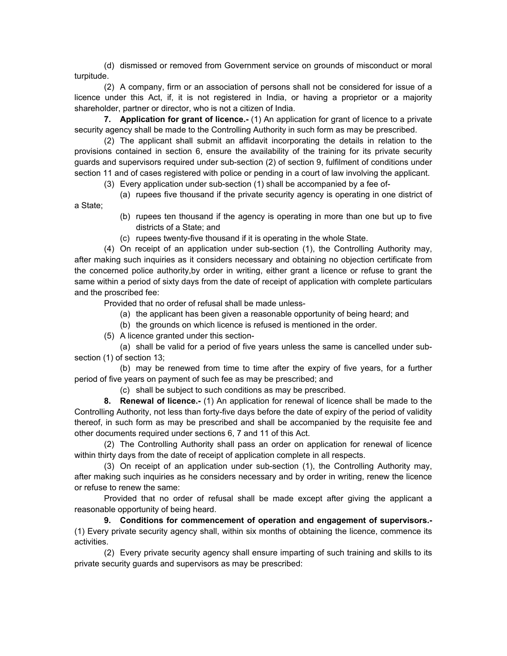(d) dismissed or removed from Government service on grounds of misconduct or moral turpitude.

(2) A company, firm or an association of persons shall not be considered for issue of a licence under this Act, if, it is not registered in India, or having a proprietor or a majority shareholder, partner or director, who is not a citizen of India.

**7. Application for grant of licence.-** (1) An application for grant of licence to a private security agency shall be made to the Controlling Authority in such form as may be prescribed.

(2) The applicant shall submit an affidavit incorporating the details in relation to the provisions contained in section 6, ensure the availability of the training for its private security guards and supervisors required under sub-section (2) of section 9, fulfilment of conditions under section 11 and of cases registered with police or pending in a court of law involving the applicant.

(3) Every application under sub-section (1) shall be accompanied by a fee of-

(a) rupees five thousand if the private security agency is operating in one district of

- (b) rupees ten thousand if the agency is operating in more than one but up to five districts of a State; and
- (c) rupees twenty-five thousand if it is operating in the whole State.

(4) On receipt of an application under sub-section (1), the Controlling Authority may, after making such inquiries as it considers necessary and obtaining no objection certificate from the concerned police authority,by order in writing, either grant a licence or refuse to grant the same within a period of sixty days from the date of receipt of application with complete particulars and the proscribed fee:

Provided that no order of refusal shall be made unless-

- (a) the applicant has been given a reasonable opportunity of being heard; and
- (b) the grounds on which licence is refused is mentioned in the order.
- (5) A licence granted under this section-

a State;

(a) shall be valid for a period of five years unless the same is cancelled under subsection (1) of section 13;

(b) may be renewed from time to time after the expiry of five years, for a further period of five years on payment of such fee as may be prescribed; and

(c) shall be subject to such conditions as may be prescribed.

**8. Renewal of licence.-** (1) An application for renewal of licence shall be made to the Controlling Authority, not less than forty-five days before the date of expiry of the period of validity thereof, in such form as may be prescribed and shall be accompanied by the requisite fee and other documents required under sections 6, 7 and 11 of this Act.

(2) The Controlling Authority shall pass an order on application for renewal of licence within thirty days from the date of receipt of application complete in all respects.

(3) On receipt of an application under sub-section (1), the Controlling Authority may, after making such inquiries as he considers necessary and by order in writing, renew the licence or refuse to renew the same:

Provided that no order of refusal shall be made except after giving the applicant a reasonable opportunity of being heard.

**9. Conditions for commencement of operation and engagement of supervisors.-** (1) Every private security agency shall, within six months of obtaining the licence, commence its activities.

(2) Every private security agency shall ensure imparting of such training and skills to its private security guards and supervisors as may be prescribed: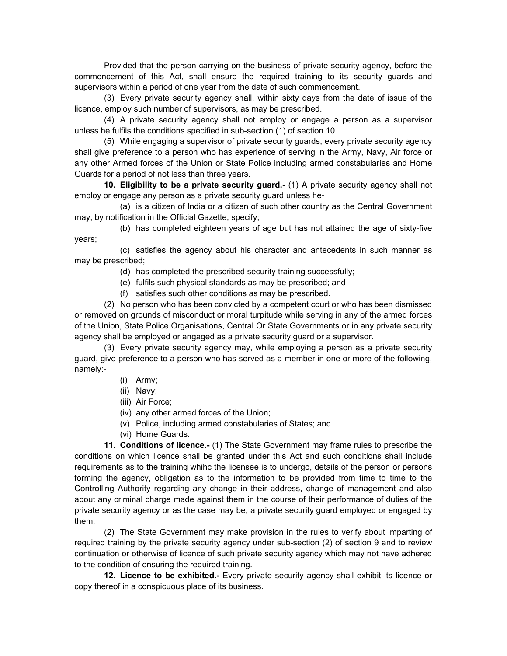Provided that the person carrying on the business of private security agency, before the commencement of this Act, shall ensure the required training to its security guards and supervisors within a period of one year from the date of such commencement.

(3) Every private security agency shall, within sixty days from the date of issue of the licence, employ such number of supervisors, as may be prescribed.

(4) A private security agency shall not employ or engage a person as a supervisor unless he fulfils the conditions specified in sub-section (1) of section 10.

(5) While engaging a supervisor of private security guards, every private security agency shall give preference to a person who has experience of serving in the Army, Navy, Air force or any other Armed forces of the Union or State Police including armed constabularies and Home Guards for a period of not less than three years.

**10. Eligibility to be a private security guard.-** (1) A private security agency shall not employ or engage any person as a private security guard unless he-

(a) is a citizen of India or a citizen of such other country as the Central Government may, by notification in the Official Gazette, specify;

(b) has completed eighteen years of age but has not attained the age of sixty-five years;

(c) satisfies the agency about his character and antecedents in such manner as may be prescribed;

(d) has completed the prescribed security training successfully;

(e) fulfils such physical standards as may be prescribed; and

(f) satisfies such other conditions as may be prescribed.

(2) No person who has been convicted by a competent court or who has been dismissed or removed on grounds of misconduct or moral turpitude while serving in any of the armed forces of the Union, State Police Organisations, Central Or State Governments or in any private security agency shall be employed or angaged as a private security guard or a supervisor.

(3) Every private security agency may, while employing a person as a private security guard, give preference to a person who has served as a member in one or more of the following, namely:-

- (i) Army;
- (ii) Navy;
- (iii) Air Force;
- (iv) any other armed forces of the Union;
- (v) Police, including armed constabularies of States; and
- (vi) Home Guards.

**11. Conditions of licence.-** (1) The State Government may frame rules to prescribe the conditions on which licence shall be granted under this Act and such conditions shall include requirements as to the training whihc the licensee is to undergo, details of the person or persons forming the agency, obligation as to the information to be provided from time to time to the Controlling Authority regarding any change in their address, change of management and also about any criminal charge made against them in the course of their performance of duties of the private security agency or as the case may be, a private security guard employed or engaged by them.

(2) The State Government may make provision in the rules to verify about imparting of required training by the private security agency under sub-section (2) of section 9 and to review continuation or otherwise of licence of such private security agency which may not have adhered to the condition of ensuring the required training.

**12. Licence to be exhibited.-** Every private security agency shall exhibit its licence or copy thereof in a conspicuous place of its business.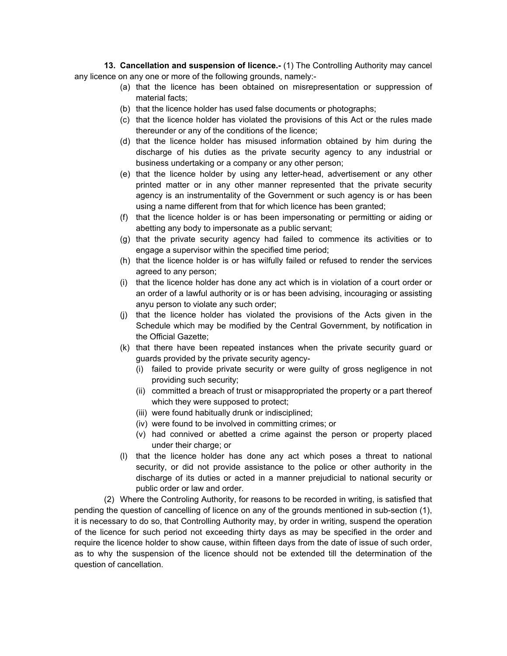**13. Cancellation and suspension of licence.**- (1) The Controlling Authority may cancel any licence on any one or more of the following grounds, namely:-

- (a) that the licence has been obtained on misrepresentation or suppression of material facts;
- (b) that the licence holder has used false documents or photographs;
- (c) that the licence holder has violated the provisions of this Act or the rules made thereunder or any of the conditions of the licence;
- (d) that the licence holder has misused information obtained by him during the discharge of his duties as the private security agency to any industrial or business undertaking or a company or any other person;
- (e) that the licence holder by using any letter-head, advertisement or any other printed matter or in any other manner represented that the private security agency is an instrumentality of the Government or such agency is or has been using a name different from that for which licence has been granted;
- (f) that the licence holder is or has been impersonating or permitting or aiding or abetting any body to impersonate as a public servant;
- (g) that the private security agency had failed to commence its activities or to engage a supervisor within the specified time period;
- (h) that the licence holder is or has wilfully failed or refused to render the services agreed to any person;
- (i) that the licence holder has done any act which is in violation of a court order or an order of a lawful authority or is or has been advising, incouraging or assisting anyu person to violate any such order;
- (j) that the licence holder has violated the provisions of the Acts given in the Schedule which may be modified by the Central Government, by notification in the Official Gazette;
- (k) that there have been repeated instances when the private security guard or guards provided by the private security agency-
	- (i) failed to provide private security or were guilty of gross negligence in not providing such security;
	- (ii) committed a breach of trust or misappropriated the property or a part thereof which they were supposed to protect;
	- (iii) were found habitually drunk or indisciplined;
	- (iv) were found to be involved in committing crimes; or
	- (v) had connived or abetted a crime against the person or property placed under their charge; or
- (l) that the licence holder has done any act which poses a threat to national security, or did not provide assistance to the police or other authority in the discharge of its duties or acted in a manner prejudicial to national security or public order or law and order.

(2) Where the Controling Authority, for reasons to be recorded in writing, is satisfied that pending the question of cancelling of licence on any of the grounds mentioned in sub-section (1), it is necessary to do so, that Controlling Authority may, by order in writing, suspend the operation of the licence for such period not exceeding thirty days as may be specified in the order and require the licence holder to show cause, within fifteen days from the date of issue of such order, as to why the suspension of the licence should not be extended till the determination of the question of cancellation.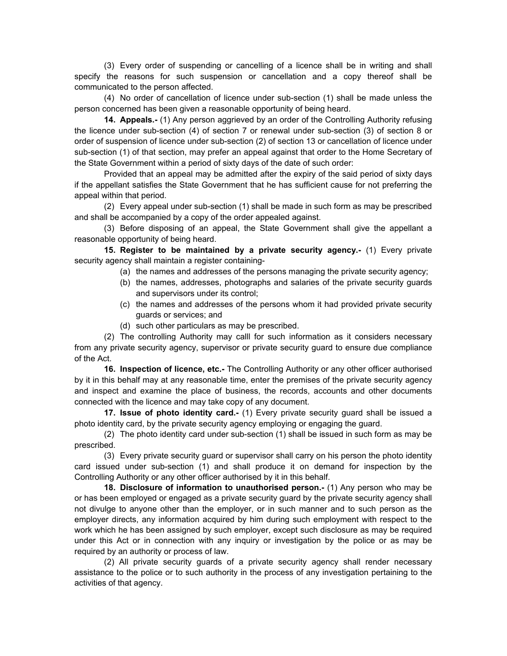(3) Every order of suspending or cancelling of a licence shall be in writing and shall specify the reasons for such suspension or cancellation and a copy thereof shall be communicated to the person affected.

(4) No order of cancellation of licence under sub-section (1) shall be made unless the person concerned has been given a reasonable opportunity of being heard.

**14. Appeals.-** (1) Any person aggrieved by an order of the Controlling Authority refusing the licence under sub-section (4) of section 7 or renewal under sub-section (3) of section 8 or order of suspension of licence under sub-section (2) of section 13 or cancellation of licence under sub-section (1) of that section, may prefer an appeal against that order to the Home Secretary of the State Government within a period of sixty days of the date of such order:

Provided that an appeal may be admitted after the expiry of the said period of sixty days if the appellant satisfies the State Government that he has sufficient cause for not preferring the appeal within that period.

(2) Every appeal under sub-section (1) shall be made in such form as may be prescribed and shall be accompanied by a copy of the order appealed against.

(3) Before disposing of an appeal, the State Government shall give the appellant a reasonable opportunity of being heard.

**15. Register to be maintained by a private security agency.-** (1) Every private security agency shall maintain a register containing-

- (a) the names and addresses of the persons managing the private security agency;
- (b) the names, addresses, photographs and salaries of the private security guards and supervisors under its control;
- (c) the names and addresses of the persons whom it had provided private security guards or services; and
- (d) such other particulars as may be prescribed.

(2) The controlling Authority may calll for such information as it considers necessary from any private security agency, supervisor or private security guard to ensure due compliance of the Act.

**16. Inspection of licence, etc.-** The Controlling Authority or any other officer authorised by it in this behalf may at any reasonable time, enter the premises of the private security agency and inspect and examine the place of business, the records, accounts and other documents connected with the licence and may take copy of any document.

**17. Issue of photo identity card.-** (1) Every private security guard shall be issued a photo identity card, by the private security agency employing or engaging the guard.

(2) The photo identity card under sub-section (1) shall be issued in such form as may be prescribed.

(3) Every private security guard or supervisor shall carry on his person the photo identity card issued under sub-section (1) and shall produce it on demand for inspection by the Controlling Authority or any other officer authorised by it in this behalf.

**18. Disclosure of information to unauthorised person.-** (1) Any person who may be or has been employed or engaged as a private security guard by the private security agency shall not divulge to anyone other than the employer, or in such manner and to such person as the employer directs, any information acquired by him during such employment with respect to the work which he has been assigned by such employer, except such disclosure as may be required under this Act or in connection with any inquiry or investigation by the police or as may be required by an authority or process of law.

(2) All private security guards of a private security agency shall render necessary assistance to the police or to such authority in the process of any investigation pertaining to the activities of that agency.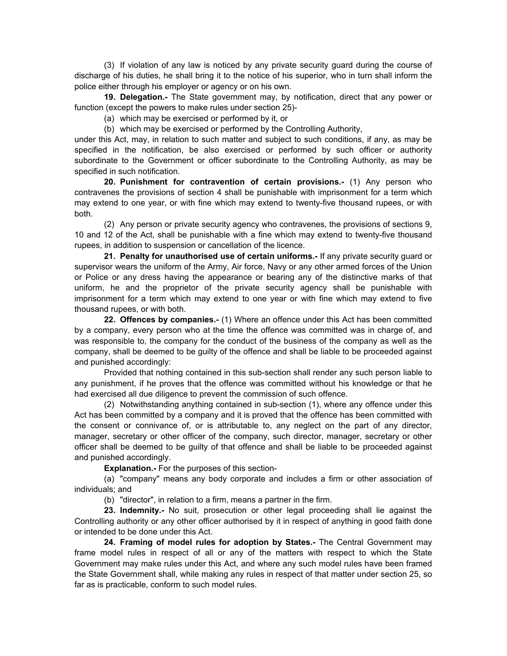(3) If violation of any law is noticed by any private security guard during the course of discharge of his duties, he shall bring it to the notice of his superior, who in turn shall inform the police either through his employer or agency or on his own.

 **19. Delegation.-** The State government may, by notification, direct that any power or function (except the powers to make rules under section 25)-

(a) which may be exercised or performed by it, or

(b) which may be exercised or performed by the Controlling Authority,

under this Act, may, in relation to such matter and subject to such conditions, if any, as may be specified in the notification, be also exercised or performed by such officer or authority subordinate to the Government or officer subordinate to the Controlling Authority, as may be specified in such notification.

**20. Punishment for contravention of certain provisions.-** (1) Any person who contravenes the provisions of section 4 shall be punishable with imprisonment for a term which may extend to one year, or with fine which may extend to twenty-five thousand rupees, or with both.

(2) Any person or private security agency who contravenes, the provisions of sections 9, 10 and 12 of the Act, shall be punishable with a fine which may extend to twenty-five thousand rupees, in addition to suspension or cancellation of the licence.

**21. Penalty for unauthorised use of certain uniforms.-** If any private security guard or supervisor wears the uniform of the Army, Air force, Navy or any other armed forces of the Union or Police or any dress having the appearance or bearing any of the distinctive marks of that uniform, he and the proprietor of the private security agency shall be punishable with imprisonment for a term which may extend to one year or with fine which may extend to five thousand rupees, or with both.

**22. Offences by companies.-** (1) Where an offence under this Act has been committed by a company, every person who at the time the offence was committed was in charge of, and was responsible to, the company for the conduct of the business of the company as well as the company, shall be deemed to be guilty of the offence and shall be liable to be proceeded against and punished accordingly:

Provided that nothing contained in this sub-section shall render any such person liable to any punishment, if he proves that the offence was committed without his knowledge or that he had exercised all due diligence to prevent the commission of such offence.

(2) Notwithstanding anything contained in sub-section (1), where any offence under this Act has been committed by a company and it is proved that the offence has been committed with the consent or connivance of, or is attributable to, any neglect on the part of any director, manager, secretary or other officer of the company, such director, manager, secretary or other officer shall be deemed to be guilty of that offence and shall be liable to be proceeded against and punished accordingly.

**Explanation.-** For the purposes of this section-

(a) "company" means any body corporate and includes a firm or other association of individuals; and

(b) "director", in relation to a firm, means a partner in the firm.

 **23. Indemnity.-** No suit, prosecution or other legal proceeding shall lie against the Controlling authority or any other officer authorised by it in respect of anything in good faith done or intended to be done under this Act.

**24. Framing of model rules for adoption by States.-** The Central Government may frame model rules in respect of all or any of the matters with respect to which the State Government may make rules under this Act, and where any such model rules have been framed the State Government shall, while making any rules in respect of that matter under section 25, so far as is practicable, conform to such model rules.